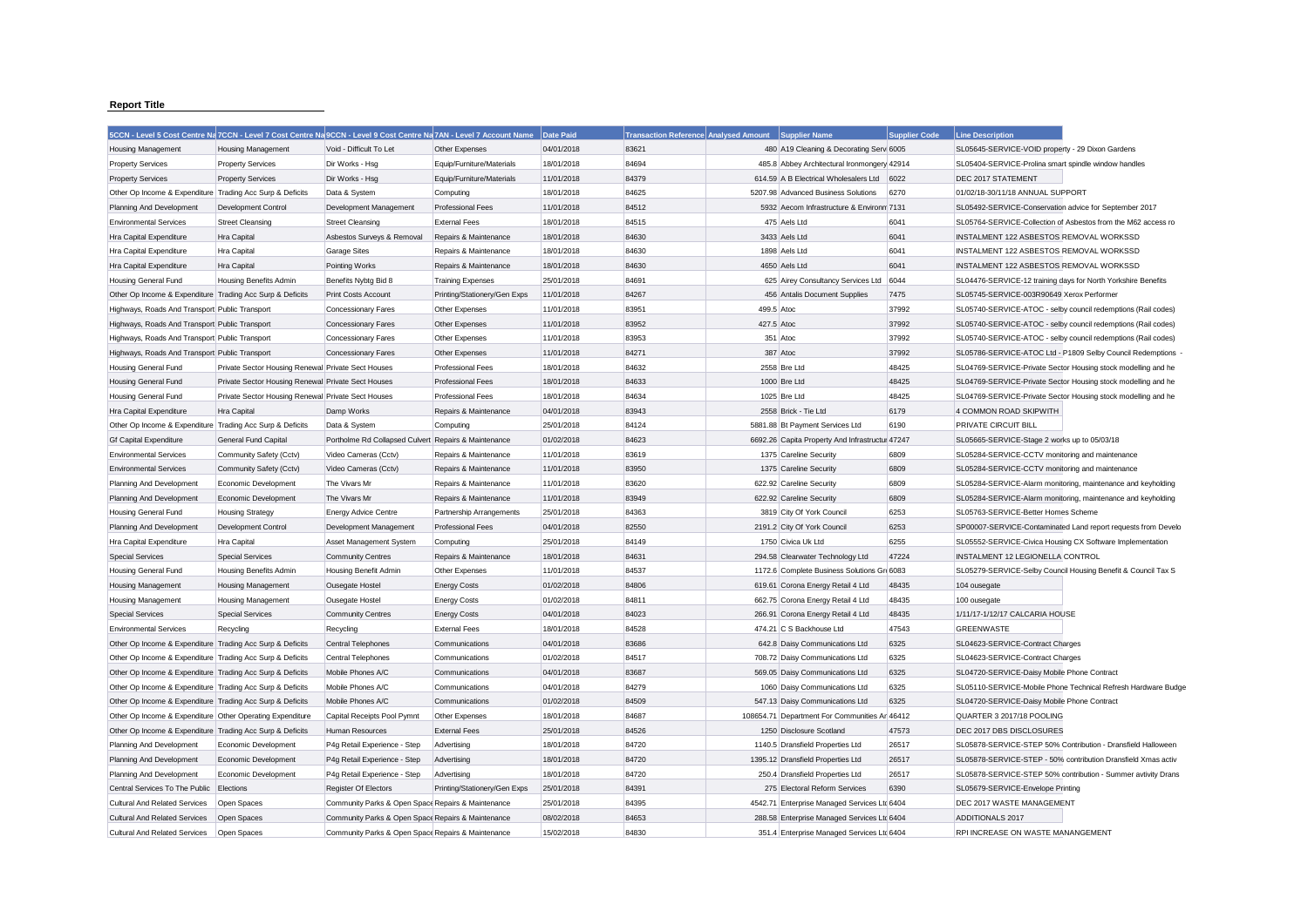## **Report Title**

|                                                           | 5CCN - Level 5 Cost Centre Na 7CCN - Level 7 Cost Centre Na 9CCN - Level 9 Cost Centre Na 7AN - Level 7 Account Name |                                                      |                              | Date Paid  | <b>Transaction Reference Analysed Amount</b> | <b>Supplier Name</b>                            | <b>Supplier Code</b> | <b>Line Description</b>                                       |
|-----------------------------------------------------------|----------------------------------------------------------------------------------------------------------------------|------------------------------------------------------|------------------------------|------------|----------------------------------------------|-------------------------------------------------|----------------------|---------------------------------------------------------------|
| <b>Housing Management</b>                                 | <b>Housing Management</b>                                                                                            | Void - Difficult To Let                              | Other Expenses               | 04/01/2018 | 83621                                        | 480 A19 Cleaning & Decorating Serv 6005         |                      | SL05645-SERVICE-VOID property - 29 Dixon Gardens              |
| <b>Property Services</b>                                  | <b>Property Services</b>                                                                                             | Dir Works - Hsg                                      | Equip/Furniture/Materials    | 18/01/2018 | 84694                                        | 485.8 Abbey Architectural Ironmongery 42914     |                      | SL05404-SERVICE-Prolina smart spindle window handles          |
| <b>Property Services</b>                                  | <b>Property Services</b>                                                                                             | Dir Works - Hsg                                      | Equip/Furniture/Materials    | 11/01/2018 | 84379                                        | 614.59 A B Electrical Wholesalers Ltd           | 6022                 | DEC 2017 STATEMENT                                            |
| Other Op Income & Expenditure Trading Acc Surp & Deficits |                                                                                                                      | Data & System                                        | Computing                    | 18/01/2018 | 84625                                        | 5207.98 Advanced Business Solutions             | 6270                 | 01/02/18-30/11/18 ANNUAL SUPPORT                              |
| Planning And Development                                  | Development Control                                                                                                  | Development Management                               | <b>Professional Fees</b>     | 11/01/2018 | 84512                                        | 5932 Aecom Infrastructure & Environm 7131       |                      | SL05492-SERVICE-Conservation advice for September 2017        |
| <b>Environmental Services</b>                             | <b>Street Cleansing</b>                                                                                              | <b>Street Cleansing</b>                              | <b>External Fees</b>         | 18/01/2018 | 84515                                        | 475 Aels Ltd                                    | 6041                 | SL05764-SERVICE-Collection of Asbestos from the M62 access ro |
| Hra Capital Expenditure                                   | Hra Capital                                                                                                          | Asbestos Surveys & Removal                           | Repairs & Maintenance        | 18/01/2018 | 84630                                        | 3433 Aels Ltd                                   | 6041                 | INSTALMENT 122 ASBESTOS REMOVAL WORKSSD                       |
| Hra Capital Expenditure                                   | Hra Capital                                                                                                          | Garage Sites                                         | Repairs & Maintenance        | 18/01/2018 | 84630                                        | 1898 Aels Ltd                                   | 6041                 | INSTALMENT 122 ASBESTOS REMOVAL WORKSSD                       |
| <b>Hra Capital Expenditure</b>                            | Hra Capital                                                                                                          | Pointing Works                                       | Repairs & Maintenance        | 18/01/2018 | 84630                                        | 4650 Aels Ltd                                   | 6041                 | <b>INSTALMENT 122 ASBESTOS REMOVAL WORKSSD</b>                |
| Housing General Fund                                      | <b>Housing Benefits Admin</b>                                                                                        | Benefits Nybtg Bid 8                                 | <b>Training Expenses</b>     | 25/01/2018 | 84691                                        | 625 Airey Consultancy Services Ltd              | 6044                 | SL04476-SERVICE-12 training days for North Yorkshire Benefits |
| Other Op Income & Expenditure Trading Acc Surp & Deficits |                                                                                                                      | Print Costs Account                                  | Printing/Stationery/Gen Exps | 11/01/2018 | 84267                                        | 456 Antalis Document Supplies                   | 7475                 | SL05745-SERVICE-003R90649 Xerox Performer                     |
| Highways, Roads And Transport Public Transport            |                                                                                                                      | <b>Concessionary Fares</b>                           | Other Expenses               | 11/01/2018 | 83951                                        | 499.5 Atoc                                      | 37992                | SL05740-SERVICE-ATOC - selby council redemptions (Rail codes) |
| Highways, Roads And Transport Public Transport            |                                                                                                                      | <b>Concessionary Fares</b>                           | Other Expenses               | 11/01/2018 | 83952                                        | 427.5 Atoc                                      | 37992                | SL05740-SERVICE-ATOC - selby council redemptions (Rail codes) |
| Highways, Roads And Transport Public Transport            |                                                                                                                      | Concessionary Fares                                  | Other Expenses               | 11/01/2018 | 83953                                        | 351 Atoc                                        | 37992                | SL05740-SERVICE-ATOC - selby council redemptions (Rail codes) |
| Highways, Roads And Transport Public Transport            |                                                                                                                      | <b>Concessionary Fares</b>                           | Other Expenses               | 11/01/2018 | 84271                                        | 387 Atoc                                        | 37992                | SL05786-SERVICE-ATOC Ltd - P1809 Selby Council Redemptions    |
| <b>Housing General Fund</b>                               | Private Sector Housing Renewal Private Sect Houses                                                                   |                                                      | <b>Professional Fees</b>     | 18/01/2018 | 84632                                        | 2558 Bre Ltd                                    | 48425                | SL04769-SERVICE-Private Sector Housing stock modelling and he |
| Housing General Fund                                      | Private Sector Housing Renewal Private Sect Houses                                                                   |                                                      | <b>Professional Fees</b>     | 18/01/2018 | 84633                                        | 1000 Bre Ltd                                    | 48425                | SL04769-SERVICE-Private Sector Housing stock modelling and he |
| Housing General Fund                                      | Private Sector Housing Renewal Private Sect Houses                                                                   |                                                      | <b>Professional Fees</b>     | 18/01/2018 | 84634                                        | 1025 Bre Ltd                                    | 48425                | SL04769-SERVICE-Private Sector Housing stock modelling and he |
| Hra Capital Expenditure                                   | Hra Capital                                                                                                          | Damp Works                                           | Repairs & Maintenance        | 04/01/2018 | 83943                                        | 2558 Brick - Tie Ltd                            | 6179                 | 4 COMMON ROAD SKIPWITH                                        |
| Other Op Income & Expenditure Trading Acc Surp & Deficits |                                                                                                                      | Data & System                                        | Computing                    | 25/01/2018 | 84124                                        | 5881.88 Bt Payment Services Ltd                 | 6190                 | PRIVATE CIRCUIT BILI                                          |
| <b>Gf Capital Expenditure</b>                             | <b>General Fund Capital</b>                                                                                          | Portholme Rd Collapsed Culvert Repairs & Maintenance |                              | 01/02/2018 | 84623                                        | 6692.26 Capita Property And Infrastructur 47247 |                      | SL05665-SERVICE-Stage 2 works up to 05/03/18                  |
| <b>Environmental Services</b>                             | Community Safety (Cctv)                                                                                              | Video Cameras (Cctv)                                 | Repairs & Maintenance        | 11/01/2018 | 83619                                        | 1375 Careline Security                          | 6809                 | SL05284-SERVICE-CCTV monitoring and maintenance               |
| <b>Environmental Services</b>                             | Community Safety (Cctv)                                                                                              | Video Cameras (Cctv)                                 | Repairs & Maintenance        | 11/01/2018 | 83950                                        | 1375 Careline Security                          | 6809                 | SL05284-SERVICE-CCTV monitoring and maintenance               |
| Planning And Development                                  | Economic Development                                                                                                 | The Vivars Mr                                        | Repairs & Maintenance        | 11/01/2018 | 83620                                        | 622.92 Careline Security                        | 6809                 | SL05284-SERVICE-Alarm monitoring, maintenance and keyholding  |
| Planning And Development                                  | Economic Development                                                                                                 | The Vivars Mr                                        | Repairs & Maintenance        | 11/01/2018 | 83949                                        | 622.92 Careline Security                        | 6809                 | SL05284-SERVICE-Alarm monitoring, maintenance and keyholding  |
| Housing General Fund                                      | <b>Housing Strategy</b>                                                                                              | Energy Advice Centre                                 | Partnership Arrangements     | 25/01/2018 | 84363                                        | 3819 City Of York Council                       | 6253                 | SL05763-SERVICE-Better Homes Scheme                           |
| Planning And Development                                  | Development Control                                                                                                  | Development Management                               | <b>Professional Fees</b>     | 04/01/2018 | 82550                                        | 2191.2 City Of York Council                     | 6253                 | SP00007-SERVICE-Contaminated Land report requests from Develo |
| Hra Capital Expenditure                                   | Hra Capital                                                                                                          | Asset Management System                              | Computing                    | 25/01/2018 | 84149                                        | 1750 Civica Uk Ltd                              | 6255                 | SL05552-SERVICE-Civica Housing CX Software Implementation     |
| <b>Special Services</b>                                   | <b>Special Services</b>                                                                                              | <b>Community Centres</b>                             | Repairs & Maintenance        | 18/01/2018 | 84631                                        | 294.58 Clearwater Technology Ltd                | 47224                | INSTALMENT 12 LEGIONELLA CONTROL                              |
| Housing General Fund                                      | Housing Benefits Admin                                                                                               | Housing Benefit Admin                                | Other Expenses               | 11/01/2018 | 84537                                        | 1172.6 Complete Business Solutions Gr 6083      |                      | SL05279-SERVICE-Selby Council Housing Benefit & Council Tax S |
| <b>Housing Management</b>                                 | <b>Housing Management</b>                                                                                            | Ousegate Hostel                                      | <b>Energy Costs</b>          | 01/02/2018 | 84806                                        | 619.61 Corona Energy Retail 4 Ltd               | 48435                | 104 ousegate                                                  |
| Housing Management                                        | Housing Management                                                                                                   | Ousegate Hostel                                      | <b>Energy Costs</b>          | 01/02/2018 | 84811                                        | 662.75 Corona Energy Retail 4 Ltd               | 48435                | 100 ousegate                                                  |
| <b>Special Services</b>                                   | <b>Special Services</b>                                                                                              | <b>Community Centres</b>                             | <b>Energy Costs</b>          | 04/01/2018 | 84023                                        | 266.91 Corona Energy Retail 4 Ltd               | 48435                | 1/11/17-1/12/17 CALCARIA HOUSE                                |
| <b>Environmental Services</b>                             | Recycling                                                                                                            | Recycling                                            | <b>External Fees</b>         | 18/01/2018 | 84528                                        | 474.21 C S Backhouse Ltd                        | 47543                | <b>GREENWASTE</b>                                             |
| Other Op Income & Expenditure Trading Acc Surp & Deficits |                                                                                                                      | Central Telephones                                   | Communications               | 04/01/2018 | 83686                                        | 642.8 Daisy Communications Ltd                  | 6325                 | SL04623-SERVICE-Contract Charges                              |
| Other Op Income & Expenditure Trading Acc Surp & Deficits |                                                                                                                      | Central Telephones                                   | Communications               | 01/02/2018 | 84517                                        | 708.72 Daisy Communications Ltd                 | 6325                 | SL04623-SERVICE-Contract Charges                              |
| Other Op Income & Expenditure Trading Acc Surp & Deficits |                                                                                                                      | Mobile Phones A/C                                    | Communications               | 04/01/2018 | 83687                                        | 569.05 Daisy Communications Ltd                 | 6325                 | SL04720-SERVICE-Daisy Mobile Phone Contract                   |
| Other Op Income & Expenditure Trading Acc Surp & Deficits |                                                                                                                      | Mobile Phones A/C                                    | Communications               | 04/01/2018 | 84279                                        | 1060 Daisy Communications Ltd                   | 6325                 | SL05110-SERVICE-Mobile Phone Technical Refresh Hardware Budge |
| Other Op Income & Expenditure Trading Acc Surp & Deficits |                                                                                                                      | Mobile Phones A/C                                    | Communications               | 01/02/2018 | 84509                                        | 547.13 Daisy Communications Ltd                 | 6325                 | SL04720-SERVICE-Daisy Mobile Phone Contract                   |
| Other Op Income & Expenditure Other Operating Expenditure |                                                                                                                      | Capital Receipts Pool Pymnt                          | Other Expenses               | 18/01/2018 | 84687                                        | 108654.71 Department For Communities Ar 46412   |                      | QUARTER 3 2017/18 POOLING                                     |
| Other Op Income & Expenditure Trading Acc Surp & Deficits |                                                                                                                      | Human Resources                                      | <b>External Fees</b>         | 25/01/2018 | 84526                                        | 1250 Disclosure Scotland                        | 47573                | DEC 2017 DBS DISCLOSURES                                      |
| Planning And Development                                  | Economic Development                                                                                                 | P4g Retail Experience - Step                         | Advertising                  | 18/01/2018 | 84720                                        | 1140.5 Dransfield Properties Ltd                | 26517                | SL05878-SERVICE-STEP 50% Contribution - Dransfield Halloween  |
| Planning And Development                                  | Economic Development                                                                                                 | P4g Retail Experience - Step                         | Advertising                  | 18/01/2018 | 84720                                        | 1395.12 Dransfield Properties Ltd               | 26517                | SL05878-SERVICE-STEP - 50% contribution Dransfield Xmas activ |
| Planning And Development                                  | Economic Development                                                                                                 | P4g Retail Experience - Step                         | Advertising                  | 18/01/2018 | 84720                                        | 250.4 Dransfield Properties Ltd                 | 26517                | SL05878-SERVICE-STEP 50% contribution - Summer avtivity Drans |
| Central Services To The Public                            | Elections                                                                                                            | Register Of Electors                                 | Printing/Stationery/Gen Exps | 25/01/2018 | 84391                                        | 275 Electoral Reform Services                   | 6390                 | SL05679-SERVICE-Envelope Printing                             |
| <b>Cultural And Related Services</b>                      | Open Spaces                                                                                                          | Community Parks & Open Space Repairs & Maintenance   |                              | 25/01/2018 | 84395                                        | 4542.71 Enterprise Managed Services Ltd 6404    |                      | DEC 2017 WASTE MANAGEMENT                                     |
| <b>Cultural And Related Services</b>                      | Open Spaces                                                                                                          | Community Parks & Open Space Repairs & Maintenance   |                              | 08/02/2018 | 84653                                        | 288.58 Enterprise Managed Services Ltd 6404     |                      | <b>ADDITIONALS 2017</b>                                       |
| Cultural And Related Services                             | Open Spaces                                                                                                          | Community Parks & Open Space Repairs & Maintenance   |                              | 15/02/2018 | 84830                                        | 351.4 Enterprise Managed Services Ltd 6404      |                      | RPI INCREASE ON WASTE MANANGEMENT                             |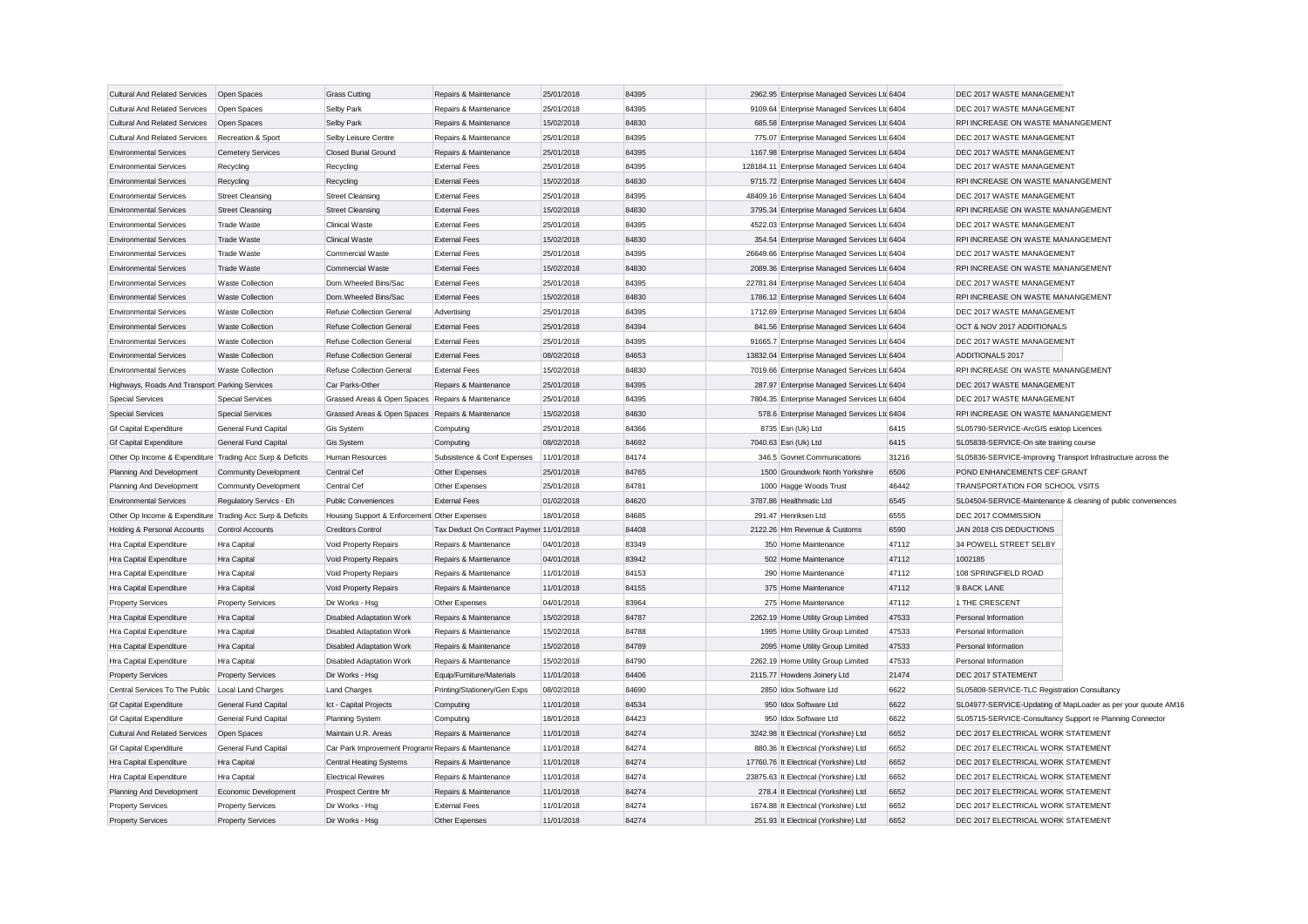| <b>Cultural And Related Services</b>                      | Open Spaces                  | <b>Grass Cutting</b>                                | Repairs & Maintenance                    | 25/01/2018 | 84395 | 2962.95 Enterprise Managed Services Ltc 6404   |       | DEC 2017 WASTE MANAGEMENT                                     |                                                               |
|-----------------------------------------------------------|------------------------------|-----------------------------------------------------|------------------------------------------|------------|-------|------------------------------------------------|-------|---------------------------------------------------------------|---------------------------------------------------------------|
| Cultural And Related Services                             | Open Spaces                  | Selby Park                                          | Repairs & Maintenance                    | 25/01/2018 | 84395 | 9109.64 Enterprise Managed Services Ltd 6404   |       | DEC 2017 WASTE MANAGEMENT                                     |                                                               |
| <b>Cultural And Related Services</b>                      | Open Spaces                  | Selby Park                                          | Repairs & Maintenance                    | 15/02/2018 | 84830 | 685.58 Enterprise Managed Services Ltd 6404    |       | RPI INCREASE ON WASTE MANANGEMENT                             |                                                               |
| <b>Cultural And Related Services</b>                      | Recreation & Sport           | Selby Leisure Centre                                | Repairs & Maintenance                    | 25/01/2018 | 84395 | 775.07 Enterprise Managed Services Ltd 6404    |       | DEC 2017 WASTE MANAGEMENT                                     |                                                               |
| <b>Environmental Services</b>                             | <b>Cemetery Services</b>     | Closed Burial Ground                                | Repairs & Maintenance                    | 25/01/2018 | 84395 | 1167.98 Enterprise Managed Services Ltd 6404   |       | DEC 2017 WASTE MANAGEMENT                                     |                                                               |
| <b>Environmental Services</b>                             | Recycling                    | Recycling                                           | <b>External Fees</b>                     | 25/01/2018 | 84395 | 128184.11 Enterprise Managed Services Ltd 6404 |       | DEC 2017 WASTE MANAGEMENT                                     |                                                               |
| <b>Environmental Services</b>                             | Recycling                    | Recycling                                           | <b>External Fees</b>                     | 15/02/2018 | 84830 | 9715.72 Enterprise Managed Services Ltd 6404   |       | RPI INCREASE ON WASTE MANANGEMENT                             |                                                               |
| <b>Environmental Services</b>                             | <b>Street Cleansing</b>      | <b>Street Cleansing</b>                             | <b>External Fees</b>                     | 25/01/2018 | 84395 | 48409.16 Enterprise Managed Services Ltd 6404  |       | DEC 2017 WASTE MANAGEMENT                                     |                                                               |
| <b>Environmental Services</b>                             | <b>Street Cleansing</b>      | <b>Street Cleansing</b>                             | <b>External Fees</b>                     | 15/02/2018 | 84830 | 3795.34 Enterprise Managed Services Ltc 6404   |       | RPI INCREASE ON WASTE MANANGEMENT                             |                                                               |
| <b>Environmental Services</b>                             | <b>Trade Waste</b>           | Clinical Waste                                      | <b>External Fees</b>                     | 25/01/2018 | 84395 | 4522.03 Enterprise Managed Services Ltd 6404   |       | DEC 2017 WASTE MANAGEMENT                                     |                                                               |
| <b>Environmental Services</b>                             | <b>Trade Waste</b>           | <b>Clinical Waste</b>                               | <b>External Fees</b>                     | 15/02/2018 | 84830 | 354.54 Enterprise Managed Services Ltd 6404    |       | RPI INCREASE ON WASTE MANANGEMENT                             |                                                               |
| <b>Environmental Services</b>                             | <b>Trade Waste</b>           | Commercial Waste                                    | <b>External Fees</b>                     | 25/01/2018 | 84395 | 26649.66 Enterprise Managed Services Ltd 6404  |       | DEC 2017 WASTE MANAGEMENT                                     |                                                               |
| <b>Environmental Services</b>                             | <b>Trade Waste</b>           | <b>Commercial Waste</b>                             | <b>External Fees</b>                     | 15/02/2018 | 84830 | 2089.36 Enterprise Managed Services Ltc 6404   |       | RPI INCREASE ON WASTE MANANGEMENT                             |                                                               |
| <b>Environmental Services</b>                             | <b>Waste Collection</b>      | Dom.Wheeled Bins/Sac                                | <b>External Fees</b>                     | 25/01/2018 | 84395 | 22781.84 Enterprise Managed Services Ltd 6404  |       | DEC 2017 WASTE MANAGEMENT                                     |                                                               |
| <b>Environmental Services</b>                             | <b>Waste Collection</b>      | Dom.Wheeled Bins/Sac                                | <b>External Fees</b>                     | 15/02/2018 | 84830 | 1786.12 Enterprise Managed Services Ltd 6404   |       | RPI INCREASE ON WASTE MANANGEMENT                             |                                                               |
| <b>Environmental Services</b>                             | Waste Collection             | Refuse Collection General                           | Advertising                              | 25/01/2018 | 84395 | 1712.69 Enterprise Managed Services Ltd 6404   |       | DEC 2017 WASTE MANAGEMENT                                     |                                                               |
| <b>Environmental Services</b>                             | <b>Waste Collection</b>      | Refuse Collection General                           | <b>External Fees</b>                     | 25/01/2018 | 84394 | 841.56 Enterprise Managed Services Ltd 6404    |       | OCT & NOV 2017 ADDITIONALS                                    |                                                               |
| <b>Environmental Services</b>                             | <b>Waste Collection</b>      | Refuse Collection General                           | <b>External Fees</b>                     | 25/01/2018 | 84395 | 91665.7 Enterprise Managed Services Ltd 6404   |       | DEC 2017 WASTE MANAGEMENT                                     |                                                               |
| <b>Environmental Services</b>                             | <b>Waste Collection</b>      | Refuse Collection General                           | <b>External Fees</b>                     | 08/02/2018 | 84653 | 13832.04 Enterprise Managed Services Ltd 6404  |       | ADDITIONALS 2017                                              |                                                               |
| <b>Environmental Services</b>                             | <b>Waste Collection</b>      | Refuse Collection General                           | <b>External Fees</b>                     | 15/02/2018 | 84830 | 7019.66 Enterprise Managed Services Ltd 6404   |       | RPI INCREASE ON WASTE MANANGEMENT                             |                                                               |
| Highways, Roads And Transport Parking Services            |                              | Car Parks-Other                                     | Repairs & Maintenance                    | 25/01/2018 | 84395 | 287.97 Enterprise Managed Services Ltd 6404    |       | DEC 2017 WASTE MANAGEMENT                                     |                                                               |
| <b>Special Services</b>                                   | <b>Special Services</b>      | Grassed Areas & Open Spaces Repairs & Maintenance   |                                          | 25/01/2018 | 84395 | 7804.35 Enterprise Managed Services Ltd 6404   |       | DEC 2017 WASTE MANAGEMENT                                     |                                                               |
| <b>Special Services</b>                                   | <b>Special Services</b>      | Grassed Areas & Open Spaces Repairs & Maintenance   |                                          | 15/02/2018 | 84830 | 578.6 Enterprise Managed Services Ltd 6404     |       | RPI INCREASE ON WASTE MANANGEMENT                             |                                                               |
| <b>Gf Capital Expenditure</b>                             | General Fund Capital         | Gis System                                          | Computing                                | 25/01/2018 | 84366 | 8735 Esri (Uk) Ltd                             | 6415  | SL05790-SERVICE-ArcGIS esktop Licences                        |                                                               |
| <b>Gf Capital Expenditure</b>                             | General Fund Capital         | <b>Gis System</b>                                   | Computing                                | 08/02/2018 | 84692 | 7040.63 Esri (Uk) Ltd                          | 6415  | SL05838-SERVICE-On site training course                       |                                                               |
| Other Op Income & Expenditure Trading Acc Surp & Deficits |                              | Human Resources                                     | Subsistence & Conf Expenses              | 11/01/2018 | 84174 | 346.5 Govnet Communications                    | 31216 | SL05836-SERVICE-Improving Transport Infrastructure across the |                                                               |
| Planning And Development                                  | <b>Community Development</b> | Central Cef                                         | Other Expenses                           | 25/01/2018 | 84765 | 1500 Groundwork North Yorkshire                | 6506  | POND ENHANCEMENTS CEF GRANT                                   |                                                               |
| Planning And Development                                  | Community Development        | Central Cef                                         | Other Expenses                           | 25/01/2018 | 84781 | 1000 Hagge Woods Trust                         | 46442 | TRANSPORTATION FOR SCHOOL VSITS                               |                                                               |
| <b>Environmental Services</b>                             | Regulatory Servics - Eh      | <b>Public Conveniences</b>                          | <b>External Fees</b>                     | 01/02/2018 | 84620 | 3787.86 Healthmatic Ltd                        | 6545  |                                                               | SL04504-SERVICE-Maintenance & cleaning of public conveniences |
| Other Op Income & Expenditure Trading Acc Surp & Deficits |                              | Housing Support & Enforcement Other Expenses        |                                          | 18/01/2018 | 84685 | 291.47 Henriksen Ltd                           | 6555  | DEC 2017 COMMISSION                                           |                                                               |
| Holding & Personal Accounts                               | Control Accounts             | <b>Creditors Control</b>                            | Tax Deduct On Contract Paymer 11/01/2018 |            | 84408 | 2122.26 Hm Revenue & Customs                   | 6590  | JAN 2018 CIS DEDUCTIONS                                       |                                                               |
| Hra Capital Expenditure                                   | Hra Capital                  | Void Property Repairs                               | Repairs & Maintenance                    | 04/01/2018 | 83349 | 350 Home Maintenance                           | 47112 | 34 POWELL STREET SELBY                                        |                                                               |
| Hra Capital Expenditure                                   | Hra Capital                  | Void Property Repairs                               | Repairs & Maintenance                    | 04/01/2018 | 83942 | 502 Home Maintenance                           | 47112 | 1002185                                                       |                                                               |
| Hra Capital Expenditure                                   | <b>Hra Capital</b>           | Void Property Repairs                               | Repairs & Maintenance                    | 11/01/2018 | 84153 | 290 Home Maintenance                           | 47112 | 108 SPRINGFIELD ROAD                                          |                                                               |
| Hra Capital Expenditure                                   | Hra Capital                  | Void Property Repairs                               | Repairs & Maintenance                    | 11/01/2018 | 84155 | 375 Home Maintenance                           | 47112 | 9 BACK LANE                                                   |                                                               |
| <b>Property Services</b>                                  | <b>Property Services</b>     | Dir Works - Hsg                                     | Other Expenses                           | 04/01/2018 | 83964 | 275 Home Maintenance                           | 47112 | 1 THE CRESCENT                                                |                                                               |
| Hra Capital Expenditure                                   | Hra Capital                  | Disabled Adaptation Work                            | Repairs & Maintenance                    | 15/02/2018 | 84787 | 2262.19 Home Utility Group Limited             | 47533 | Personal Information                                          |                                                               |
| Hra Capital Expenditure                                   | Hra Capital                  | <b>Disabled Adaptation Work</b>                     | Repairs & Maintenance                    | 15/02/2018 | 84788 | 1995 Home Utility Group Limited                | 47533 | Personal Information                                          |                                                               |
| Hra Capital Expenditure                                   | Hra Capital                  | <b>Disabled Adaptation Work</b>                     | Repairs & Maintenance                    | 15/02/2018 | 84789 | 2095 Home Utility Group Limited                | 47533 | Personal Information                                          |                                                               |
| Hra Capital Expenditure                                   | Hra Capital                  | Disabled Adaptation Work                            | Repairs & Maintenance                    | 15/02/2018 | 84790 | 2262.19 Home Utility Group Limited             | 47533 | Personal Information                                          |                                                               |
| <b>Property Services</b>                                  | <b>Property Services</b>     | Dir Works - Hsg                                     | Equip/Furniture/Materials                | 11/01/2018 | 84406 | 2115.77 Howdens Joinery Ltd                    | 21474 | DEC 2017 STATEMENT                                            |                                                               |
| Central Services To The Public                            | Local Land Charges           | <b>Land Charges</b>                                 | Printing/Stationery/Gen Exps             | 08/02/2018 | 84690 | 2850 Idox Software Ltd                         | 6622  | SL05808-SERVICE-TLC Registration Consultancy                  |                                                               |
| <b>Gf Capital Expenditure</b>                             | General Fund Capital         | Ict - Capital Projects                              | Computing                                | 11/01/2018 | 84534 | 950 Idox Software Ltd                          | 6622  |                                                               | SL04977-SERVICE-Updating of MapLoader as per your quoute AM16 |
| <b>Gf Capital Expenditure</b>                             | General Fund Capital         | <b>Planning System</b>                              | Computing                                | 18/01/2018 | 84423 | 950 Idox Software Ltd                          | 6622  | SL05715-SERVICE-Consultancy Support re Planning Connector     |                                                               |
| <b>Cultural And Related Services</b>                      | Open Spaces                  | Maintain U.R. Areas                                 | Repairs & Maintenance                    | 11/01/2018 | 84274 | 3242.98 It Electrical (Yorkshire) Ltd          | 6652  | DEC 2017 ELECTRICAL WORK STATEMENT                            |                                                               |
| <b>Gf Capital Expenditure</b>                             | General Fund Capital         | Car Park Improvement Program: Repairs & Maintenance |                                          | 11/01/2018 | 84274 | 880.36 It Electrical (Yorkshire) Ltd           | 6652  | DEC 2017 ELECTRICAL WORK STATEMENT                            |                                                               |
| Hra Capital Expenditure                                   | Hra Capital                  | <b>Central Heating Systems</b>                      | Repairs & Maintenance                    | 11/01/2018 | 84274 | 17760.76 It Electrical (Yorkshire) Ltd         | 6652  | DEC 2017 ELECTRICAL WORK STATEMENT                            |                                                               |
| Hra Capital Expenditure                                   | Hra Capital                  | <b>Electrical Rewires</b>                           | Repairs & Maintenance                    | 11/01/2018 | 84274 | 23875.63 It Electrical (Yorkshire) Ltd         | 6652  | DEC 2017 ELECTRICAL WORK STATEMENT                            |                                                               |
| Planning And Development                                  | Economic Development         | Prospect Centre Mr                                  | Repairs & Maintenance                    | 11/01/2018 | 84274 | 278.4 It Electrical (Yorkshire) Ltd            | 6652  | DEC 2017 ELECTRICAL WORK STATEMENT                            |                                                               |
| <b>Property Services</b>                                  | <b>Property Services</b>     | Dir Works - Hsg                                     | <b>External Fees</b>                     | 11/01/2018 | 84274 | 1674.88 It Electrical (Yorkshire) Ltd          | 6652  | DEC 2017 ELECTRICAL WORK STATEMENT                            |                                                               |
| <b>Property Services</b>                                  | <b>Property Services</b>     | Dir Works - Hsg                                     | Other Expenses                           | 11/01/2018 | 84274 | 251.93 It Electrical (Yorkshire) Ltd           | 6652  | DEC 2017 ELECTRICAL WORK STATEMENT                            |                                                               |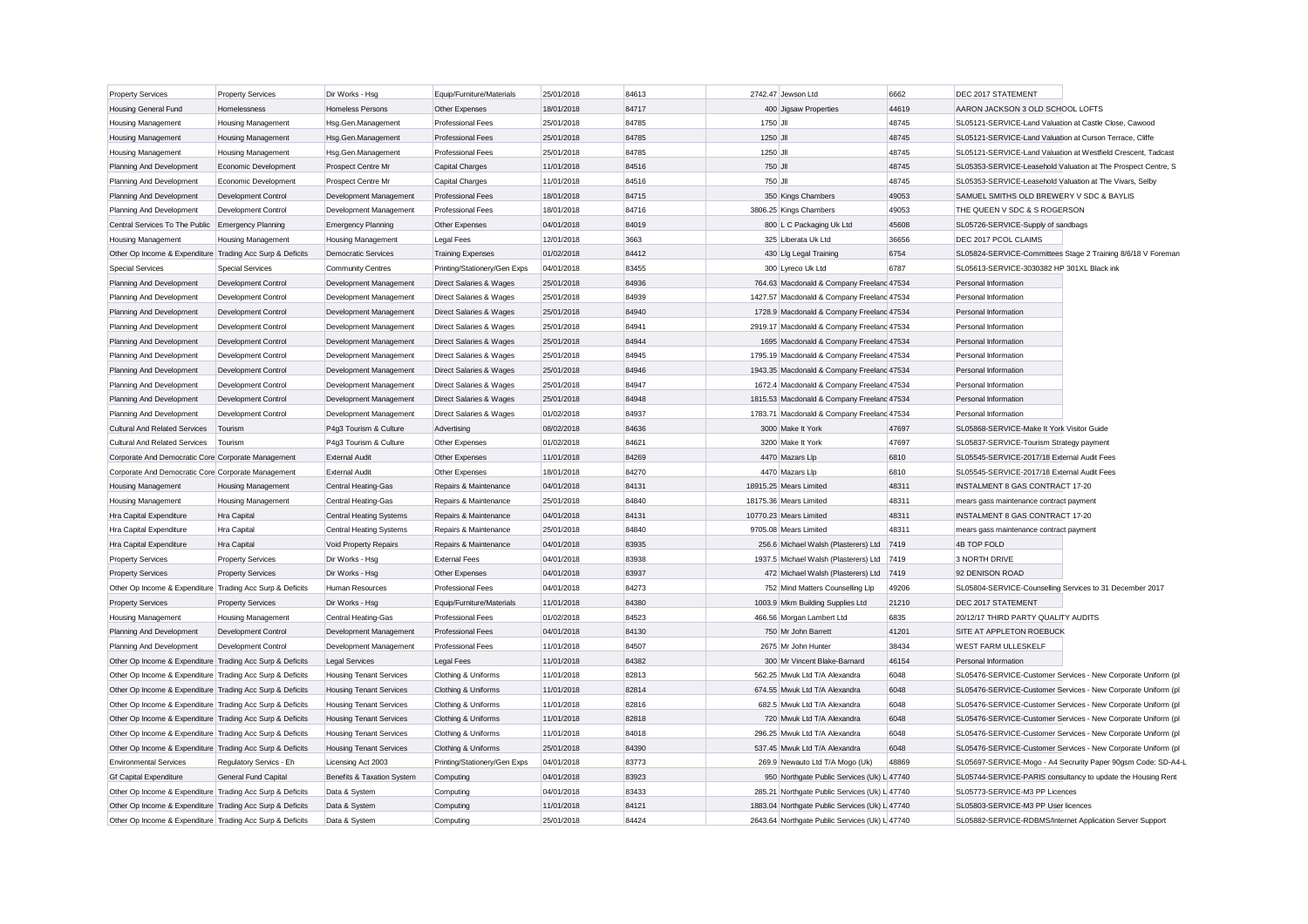| <b>Property Services</b>                                  | <b>Property Services</b>   | Dir Works - Hsg                | Equip/Furniture/Materials    | 25/01/2018 | 84613 | 2742.47 Jewson Ltd                             | 6662  | DEC 2017 STATEMENT                                            |
|-----------------------------------------------------------|----------------------------|--------------------------------|------------------------------|------------|-------|------------------------------------------------|-------|---------------------------------------------------------------|
| <b>Housing General Fund</b>                               | Homelessness               | <b>Homeless Persons</b>        | Other Expenses               | 18/01/2018 | 84717 | 400 Jiasaw Properties                          | 44619 | AARON JACKSON 3 OLD SCHOOL LOFTS                              |
| <b>Housing Management</b>                                 | <b>Housing Management</b>  | Hsg.Gen.Management             | Professional Fees            | 25/01/2018 | 84785 | 1750 JII                                       | 48745 | SL05121-SERVICE-Land Valuation at Castle Close, Cawood        |
| Housing Management                                        | Housing Management         | Hsg.Gen.Management             | <b>Professional Fees</b>     | 25/01/2018 | 84785 | 1250 JII                                       | 48745 | SL05121-SERVICE-Land Valuation at Curson Terrace, Cliffe      |
| Housing Management                                        | Housing Management         | Hsg.Gen.Management             | Professional Fees            | 25/01/2018 | 84785 | 1250 JII                                       | 48745 | SL05121-SERVICE-Land Valuation at Westfield Crescent, Tadcast |
| Planning And Development                                  | Economic Development       | Prospect Centre Mr             | <b>Capital Charges</b>       | 11/01/2018 | 84516 | 750 JII                                        | 48745 | SL05353-SERVICE-Leasehold Valuation at The Prospect Centre, S |
| Planning And Development                                  | Economic Development       | Prospect Centre Mr             | Capital Charges              | 11/01/2018 | 84516 | 750 JII                                        | 48745 | SL05353-SERVICE-Leasehold Valuation at The Vivars, Selby      |
| Planning And Development                                  | Development Control        | Development Management         | Professional Fees            | 18/01/2018 | 84715 | 350 Kings Chambers                             | 49053 | SAMUEL SMITHS OLD BREWERY V SDC & BAYLIS                      |
| Planning And Development                                  | Development Control        | Development Management         | <b>Professional Fees</b>     | 18/01/2018 | 84716 | 3806.25 Kings Chambers                         | 49053 | THE QUEEN V SDC & S ROGERSON                                  |
| Central Services To The Public Emergency Planning         |                            | <b>Emergency Planning</b>      | Other Expenses               | 04/01/2018 | 84019 | 800 L C Packaging Uk Ltd                       | 45608 | SL05726-SERVICE-Supply of sandbags                            |
| <b>Housing Management</b>                                 | <b>Housing Management</b>  | <b>Housing Management</b>      | Legal Fees                   | 12/01/2018 | 3663  | 325 Liberata Uk Ltd                            | 36656 | DEC 2017 PCOL CLAIMS                                          |
| Other Op Income & Expenditure Trading Acc Surp & Deficits |                            | <b>Democratic Services</b>     | <b>Training Expenses</b>     | 01/02/2018 | 84412 | 430 Llg Legal Training                         | 6754  | SL05824-SERVICE-Committees Stage 2 Training 8/6/18 V Foreman  |
| <b>Special Services</b>                                   | <b>Special Services</b>    | <b>Community Centres</b>       | Printing/Stationery/Gen Exps | 04/01/2018 | 83455 | 300 Lyreco Uk Ltd                              | 6787  | SL05613-SERVICE-3030382 HP 301XL Black ink                    |
| Planning And Development                                  | Development Control        | Development Management         | Direct Salaries & Wages      | 25/01/2018 | 84936 | 764.63 Macdonald & Company Freelanc 47534      |       | Personal Information                                          |
| Planning And Development                                  | Development Control        | Development Management         | Direct Salaries & Wages      | 25/01/2018 | 84939 | 1427.57 Macdonald & Company Freeland 47534     |       | Personal Information                                          |
| Planning And Development                                  | Development Control        | Development Management         | Direct Salaries & Wages      | 25/01/2018 | 84940 | 1728.9 Macdonald & Company Freeland 47534      |       | Personal Information                                          |
| Planning And Development                                  | Development Control        | Development Management         | Direct Salaries & Wages      | 25/01/2018 | 84941 | 2919.17 Macdonald & Company Freeland 47534     |       | Personal Information                                          |
| Planning And Development                                  | Development Control        | Development Management         | Direct Salaries & Wages      | 25/01/2018 | 84944 | 1695 Macdonald & Company Freelanc 47534        |       | Personal Information                                          |
| Planning And Development                                  | <b>Development Control</b> | Development Management         | Direct Salaries & Wages      | 25/01/2018 | 84945 | 1795.19 Macdonald & Company Freeland 47534     |       | Personal Information                                          |
| Planning And Development                                  | Development Control        | Development Management         | Direct Salaries & Wages      | 25/01/2018 | 84946 | 1943.35 Macdonald & Company Freelanc 47534     |       | Personal Information                                          |
| Planning And Development                                  | Development Control        | Development Management         | Direct Salaries & Wages      | 25/01/2018 | 84947 | 1672.4 Macdonald & Company Freeland 47534      |       | Personal Information                                          |
| Planning And Development                                  | Development Control        | Development Management         | Direct Salaries & Wages      | 25/01/2018 | 84948 | 1815.53 Macdonald & Company Freelanc 47534     |       | Personal Information                                          |
| Planning And Development                                  | <b>Development Control</b> | Development Management         | Direct Salaries & Wages      | 01/02/2018 | 84937 | 1783.71 Macdonald & Company Freeland 47534     |       | Personal Information                                          |
| <b>Cultural And Related Services</b>                      | Tourism                    | P4g3 Tourism & Culture         | Advertising                  | 08/02/2018 | 84636 | 3000 Make It York                              | 47697 | SL05868-SERVICE-Make It York Visitor Guide                    |
| <b>Cultural And Related Services</b>                      | Tourism                    | P4q3 Tourism & Culture         | Other Expenses               | 01/02/2018 | 84621 | 3200 Make It York                              | 47697 | SL05837-SERVICE-Tourism Strategy payment                      |
| Corporate And Democratic Core Corporate Management        |                            | <b>External Audit</b>          | Other Expenses               | 11/01/2018 | 84269 | 4470 Mazars Llp                                | 6810  | SL05545-SERVICE-2017/18 External Audit Fees                   |
| Corporate And Democratic Core Corporate Management        |                            | <b>External Audit</b>          | Other Expenses               | 18/01/2018 | 84270 | 4470 Mazars Llp                                | 6810  | SL05545-SERVICE-2017/18 External Audit Fees                   |
| Housing Management                                        | <b>Housing Management</b>  | <b>Central Heating-Gas</b>     | Repairs & Maintenance        | 04/01/2018 | 84131 | 18915.25 Mears Limited                         | 48311 | INSTALMENT 8 GAS CONTRACT 17-20                               |
| Housing Management                                        | <b>Housing Management</b>  | <b>Central Heating-Gas</b>     | Repairs & Maintenance        | 25/01/2018 | 84840 | 18175.36 Mears Limited                         | 48311 | mears gass maintenance contract payment                       |
| Hra Capital Expenditure                                   | Hra Capital                | <b>Central Heating Systems</b> | Repairs & Maintenance        | 04/01/2018 | 84131 | 10770.23 Mears Limited                         | 48311 | <b>INSTALMENT 8 GAS CONTRACT 17-20</b>                        |
| Hra Capital Expenditure                                   | Hra Capital                | <b>Central Heating Systems</b> | Repairs & Maintenance        | 25/01/2018 | 84840 | 9705.08 Mears Limited                          | 48311 | mears gass maintenance contract payment                       |
| Hra Capital Expenditure                                   | Hra Capital                | Void Property Repairs          | Repairs & Maintenance        | 04/01/2018 | 83935 | 256.6 Michael Walsh (Plasterers) Ltd           | 7419  | 4B TOP FOLD                                                   |
|                                                           |                            |                                | <b>External Fees</b>         | 04/01/2018 | 83938 | 1937.5 Michael Walsh (Plasterers) Ltd          | 7419  | 3 NORTH DRIVE                                                 |
| <b>Property Services</b>                                  | <b>Property Services</b>   | Dir Works - Hsg                |                              |            |       |                                                |       |                                                               |
| <b>Property Services</b>                                  | <b>Property Services</b>   | Dir Works - Hsg                | Other Expenses               | 04/01/2018 | 83937 | 472 Michael Walsh (Plasterers) Ltd             | 7419  | 92 DENISON ROAD                                               |
| Other Op Income & Expenditure Trading Acc Surp & Deficits |                            | Human Resources                | Professional Fees            | 04/01/2018 | 84273 | 752 Mind Matters Counselling Llp               | 49206 | SL05804-SERVICE-Counselling Services to 31 December 2017      |
| <b>Property Services</b>                                  | <b>Property Services</b>   | Dir Works - Hsg                | Equip/Furniture/Materials    | 11/01/2018 | 84380 | 1003.9 Mkm Building Supplies Ltd               | 21210 | DEC 2017 STATEMENT                                            |
| Housing Management                                        | <b>Housing Management</b>  | Central Heating-Gas            | Professional Fees            | 01/02/2018 | 84523 | 466.56 Morgan Lambert Ltd                      | 6835  | 20/12/17 THIRD PARTY QUALITY AUDITS                           |
| Planning And Development                                  | Development Control        | Development Management         | <b>Professional Fees</b>     | 04/01/2018 | 84130 | 750 Mr John Barrett                            | 41201 | SITE AT APPLETON ROEBUCK                                      |
| Planning And Development                                  | Development Control        | Development Management         | <b>Professional Fees</b>     | 11/01/2018 | 84507 | 2675 Mr John Hunter                            | 38434 | WEST FARM ULLESKELF                                           |
| Other Op Income & Expenditure Trading Acc Surp & Deficits |                            | <b>Legal Services</b>          | Legal Fees                   | 11/01/2018 | 84382 | 300 Mr Vincent Blake-Barnard                   | 46154 | Personal Information                                          |
| Other Op Income & Expenditure Trading Acc Surp & Deficits |                            | <b>Housing Tenant Services</b> | Clothing & Uniforms          | 11/01/2018 | 82813 | 562.25 Mwuk Ltd T/A Alexandra                  | 6048  | SL05476-SERVICE-Customer Services - New Corporate Uniform (pl |
| Other Op Income & Expenditure Trading Acc Surp & Deficits |                            | <b>Housing Tenant Services</b> | Clothing & Uniforms          | 11/01/2018 | 82814 | 674.55 Mwuk Ltd T/A Alexandra                  | 6048  | SL05476-SERVICE-Customer Services - New Corporate Uniform (pl |
| Other Op Income & Expenditure Trading Acc Surp & Deficits |                            | <b>Housing Tenant Services</b> | Clothing & Uniforms          | 11/01/2018 | 82816 | 682.5 Mwuk Ltd T/A Alexandra                   | 6048  | SL05476-SERVICE-Customer Services - New Corporate Uniform (pl |
| Other Op Income & Expenditure Trading Acc Surp & Deficits |                            | <b>Housing Tenant Services</b> | Clothing & Uniforms          | 11/01/2018 | 82818 | 720 Mwuk Ltd T/A Alexandra                     | 6048  | SL05476-SERVICE-Customer Services - New Corporate Uniform (pl |
| Other Op Income & Expenditure Trading Acc Surp & Deficits |                            | <b>Housing Tenant Services</b> | Clothing & Uniforms          | 11/01/2018 | 84018 | 296.25 Mwuk Ltd T/A Alexandra                  | 6048  | SL05476-SERVICE-Customer Services - New Corporate Uniform (pl |
| Other Op Income & Expenditure Trading Acc Surp & Deficits |                            | <b>Housing Tenant Services</b> | Clothing & Uniforms          | 25/01/2018 | 84390 | 537.45 Mwuk Ltd T/A Alexandra                  | 6048  | SL05476-SERVICE-Customer Services - New Corporate Uniform (pl |
| <b>Environmental Services</b>                             | Regulatory Servics - Eh    | Licensing Act 2003             | Printing/Stationery/Gen Exps | 04/01/2018 | 83773 | 269.9 Newauto Ltd T/A Mogo (Uk)                | 48869 | SL05697-SERVICE-Mogo - A4 Secrurity Paper 90gsm Code: SD-A4-L |
| <b>Gf Capital Expenditure</b>                             | General Fund Capital       | Benefits & Taxation System     | Computing                    | 04/01/2018 | 83923 | 950 Northgate Public Services (Uk) L 47740     |       | SL05744-SERVICE-PARIS consultancy to update the Housing Rent  |
| Other Op Income & Expenditure Trading Acc Surp & Deficits |                            | Data & System                  | Computing                    | 04/01/2018 | 83433 | 285.21 Northgate Public Services (Uk) L 47740  |       | SL05773-SERVICE-M3 PP Licences                                |
| Other Op Income & Expenditure Trading Acc Surp & Deficits |                            | Data & System                  | Computing                    | 11/01/2018 | 84121 | 1883.04 Northgate Public Services (Uk) L 47740 |       | SL05803-SERVICE-M3 PP User licences                           |
| Other Op Income & Expenditure Trading Acc Surp & Deficits |                            | Data & System                  | Computing                    | 25/01/2018 | 84424 | 2643.64 Northgate Public Services (Uk) L 47740 |       | SL05882-SERVICE-RDBMS/Internet Application Server Support     |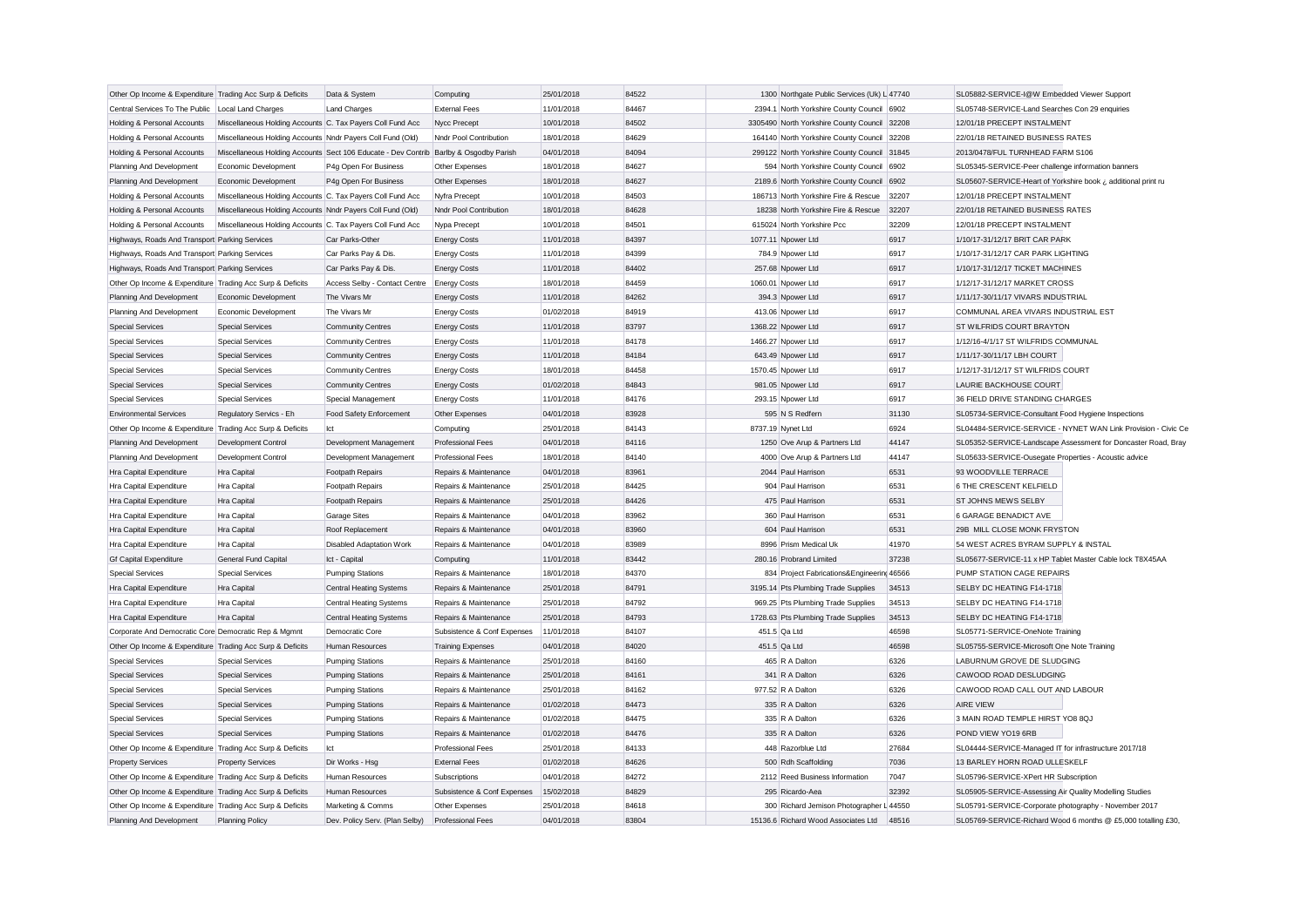| Other Op Income & Expenditure Trading Acc Surp & Deficits |                                                            | Data & System                                                                         | Computing                   | 25/01/2018 | 84522 | 1300 Northgate Public Services (Uk) L 47740 |       | SL05882-SERVICE-I@W Embedded Viewer Support                   |
|-----------------------------------------------------------|------------------------------------------------------------|---------------------------------------------------------------------------------------|-----------------------------|------------|-------|---------------------------------------------|-------|---------------------------------------------------------------|
| Central Services To The Public                            | Local Land Charges                                         | <b>Land Charges</b>                                                                   | <b>External Fees</b>        | 11/01/2018 | 84467 | 2394.1 North Yorkshire County Council 6902  |       | SL05748-SERVICE-Land Searches Con 29 enquiries                |
| Holding & Personal Accounts                               | Miscellaneous Holding Accounts C. Tax Payers Coll Fund Acc |                                                                                       | Nycc Precept                | 10/01/2018 | 84502 | 3305490 North Yorkshire County Council      | 32208 | 12/01/18 PRECEPT INSTALMENT                                   |
| Holding & Personal Accounts                               | Miscellaneous Holding Accounts Nndr Payers Coll Fund (Old) |                                                                                       | Nndr Pool Contribution      | 18/01/2018 | 84629 | 164140 North Yorkshire County Council 32208 |       | 22/01/18 RETAINED BUSINESS RATES                              |
| Holding & Personal Accounts                               |                                                            | Miscellaneous Holding Accounts Sect 106 Educate - Dev Contrib Barlby & Osgodby Parish |                             | 04/01/2018 | 84094 | 299122 North Yorkshire County Council 31845 |       | 2013/0478/FUL TURNHEAD FARM S106                              |
| Planning And Development                                  | Economic Development                                       | P4g Open For Business                                                                 | Other Expenses              | 18/01/2018 | 84627 | 594 North Yorkshire County Council 6902     |       | SL05345-SERVICE-Peer challenge information banners            |
| Planning And Development                                  | Economic Development                                       | P4g Open For Business                                                                 | Other Expenses              | 18/01/2018 | 84627 | 2189.6 North Yorkshire County Council       | 6902  | SL05607-SERVICE-Heart of Yorkshire book ¿ additional print ru |
| Holding & Personal Accounts                               | Miscellaneous Holding Accounts C. Tax Payers Coll Fund Acc |                                                                                       | Nyfra Precept               | 10/01/2018 | 84503 | 186713 North Yorkshire Fire & Rescue        | 32207 | 12/01/18 PRECEPT INSTALMENT                                   |
| <b>Holding &amp; Personal Accounts</b>                    | Miscellaneous Holding Accounts Nndr Payers Coll Fund (Old) |                                                                                       | Nndr Pool Contribution      | 18/01/2018 | 84628 | 18238 North Yorkshire Fire & Rescue         | 32207 | 22/01/18 RETAINED BUSINESS RATES                              |
| Holding & Personal Accounts                               | Miscellaneous Holding Accounts C. Tax Payers Coll Fund Acc |                                                                                       | Nypa Precept                | 10/01/2018 | 84501 | 615024 North Yorkshire Pcc                  | 32209 | 12/01/18 PRECEPT INSTALMENT                                   |
| Highways, Roads And Transport Parking Services            |                                                            | Car Parks-Other                                                                       | <b>Energy Costs</b>         | 11/01/2018 | 84397 | 1077.11 Npower Ltd                          | 6917  | 1/10/17-31/12/17 BRIT CAR PARK                                |
| Highways, Roads And Transport Parking Services            |                                                            | Car Parks Pay & Dis                                                                   | <b>Energy Costs</b>         | 11/01/2018 | 84399 | 784.9 Npower Ltd                            | 6917  | 1/10/17-31/12/17 CAR PARK LIGHTING                            |
| Highways, Roads And Transport Parking Services            |                                                            | Car Parks Pay & Dis                                                                   | <b>Energy Costs</b>         | 11/01/2018 | 84402 | 257.68 Npower Ltd                           | 6917  | 1/10/17-31/12/17 TICKET MACHINES                              |
| Other Op Income & Expenditure Trading Acc Surp & Deficits |                                                            | Access Selby - Contact Centre                                                         | <b>Energy Costs</b>         | 18/01/2018 | 84459 | 1060.01 Npower Ltd                          | 6917  | 1/12/17-31/12/17 MARKET CROSS                                 |
| Planning And Development                                  | Economic Development                                       | The Vivars Mr                                                                         | <b>Energy Costs</b>         | 11/01/2018 | 84262 | 394.3 Npower Ltd                            | 6917  | 1/11/17-30/11/17 VIVARS INDUSTRIAL                            |
| Planning And Development                                  | Economic Development                                       | The Vivars Mr                                                                         | <b>Energy Costs</b>         | 01/02/2018 | 84919 | 413.06 Npower Ltd                           | 6917  | COMMUNAL AREA VIVARS INDUSTRIAL EST                           |
| <b>Special Services</b>                                   | <b>Special Services</b>                                    | <b>Community Centres</b>                                                              | <b>Energy Costs</b>         | 11/01/2018 | 83797 | 1368.22 Npower Ltd                          | 6917  | ST WILFRIDS COURT BRAYTON                                     |
| <b>Special Services</b>                                   | <b>Special Services</b>                                    | <b>Community Centres</b>                                                              | <b>Energy Costs</b>         | 11/01/2018 | 84178 | 1466.27 Npower Ltd                          | 6917  | 1/12/16-4/1/17 ST WILFRIDS COMMUNAL                           |
| <b>Special Services</b>                                   | <b>Special Services</b>                                    | <b>Community Centres</b>                                                              | <b>Energy Costs</b>         | 11/01/2018 | 84184 | 643.49 Npower Ltd                           | 6917  | 1/11/17-30/11/17 LBH COURT                                    |
| <b>Special Services</b>                                   | Special Services                                           | Community Centres                                                                     | <b>Energy Costs</b>         | 18/01/2018 | 84458 | 1570.45 Npower Ltd                          | 6917  | 1/12/17-31/12/17 ST WILFRIDS COURT                            |
| <b>Special Services</b>                                   | <b>Special Services</b>                                    | Community Centres                                                                     | <b>Energy Costs</b>         | 01/02/2018 | 84843 | 981.05 Npower Ltd                           | 6917  | LAURIE BACKHOUSE COURT                                        |
| <b>Special Services</b>                                   | <b>Special Services</b>                                    | Special Management                                                                    | <b>Energy Costs</b>         | 11/01/2018 | 84176 | 293.15 Npower Ltd                           | 6917  | 36 FIELD DRIVE STANDING CHARGES                               |
| <b>Environmental Services</b>                             | Regulatory Servics - Eh                                    | Food Safety Enforcement                                                               | Other Expenses              | 04/01/2018 | 83928 | 595 N S Redfern                             | 31130 | SL05734-SERVICE-Consultant Food Hygiene Inspections           |
| Other Op Income & Expenditure Trading Acc Surp & Deficits |                                                            | Ict                                                                                   | Computing                   | 25/01/2018 | 84143 | 8737.19 Nynet Ltd                           | 6924  | SL04484-SERVICE-SERVICE - NYNET WAN Link Provision - Civic Ce |
| Planning And Development                                  | Development Control                                        | Development Management                                                                | Professional Fees           | 04/01/2018 | 84116 | 1250 Ove Arup & Partners Ltd                | 44147 | SL05352-SERVICE-Landscape Assessment for Doncaster Road, Bray |
| Planning And Development                                  | Development Control                                        | Development Management                                                                | <b>Professional Fees</b>    | 18/01/2018 | 84140 | 4000 Ove Arup & Partners Ltd                | 44147 | SL05633-SERVICE-Ousegate Properties - Acoustic advice         |
| Hra Capital Expenditure                                   | Hra Capital                                                | Footpath Repairs                                                                      | Repairs & Maintenance       | 04/01/2018 | 83961 | 2044 Paul Harrison                          | 6531  | 93 WOODVILLE TERRACE                                          |
| Hra Capital Expenditure                                   | Hra Capital                                                | Footpath Repairs                                                                      | Repairs & Maintenance       | 25/01/2018 | 84425 | 904 Paul Harrison                           | 6531  | 6 THE CRESCENT KELFIELD                                       |
| Hra Capital Expenditure                                   | Hra Capital                                                | Footpath Repairs                                                                      | Repairs & Maintenance       | 25/01/2018 | 84426 | 475 Paul Harrison                           | 6531  | ST JOHNS MEWS SELBY                                           |
| Hra Capital Expenditure                                   | Hra Capital                                                | Garage Sites                                                                          | Repairs & Maintenance       | 04/01/2018 | 83962 | 360 Paul Harrison                           | 6531  | <b>6 GARAGE BENADICT AVE</b>                                  |
| Hra Capital Expenditure                                   | Hra Capital                                                | Roof Replacement                                                                      | Repairs & Maintenance       | 04/01/2018 | 83960 | 604 Paul Harrison                           | 6531  | 29B MILL CLOSE MONK FRYSTON                                   |
| Hra Capital Expenditure                                   | Hra Capital                                                | <b>Disabled Adaptation Work</b>                                                       | Repairs & Maintenance       | 04/01/2018 | 83989 | 8996 Prism Medical Uk                       | 41970 | 54 WEST ACRES BYRAM SUPPLY & INSTAL                           |
| Gf Capital Expenditure                                    | General Fund Capital                                       | Ict - Capital                                                                         | Computing                   | 11/01/2018 | 83442 | 280.16 Probrand Limited                     | 37238 | SL05677-SERVICE-11 x HP Tablet Master Cable lock T8X45AA      |
| <b>Special Services</b>                                   | Special Services                                           | <b>Pumping Stations</b>                                                               | Repairs & Maintenance       | 18/01/2018 | 84370 | 834 Project Fabrications&Engineering 46566  |       | PUMP STATION CAGE REPAIRS                                     |
| Hra Capital Expenditure                                   | <b>Hra Capital</b>                                         | Central Heating Systems                                                               | Repairs & Maintenance       | 25/01/2018 | 84791 | 3195.14 Pts Plumbing Trade Supplies         | 34513 | SELBY DC HEATING F14-1718                                     |
| Hra Capital Expenditure                                   | Hra Capital                                                | Central Heating Systems                                                               | Repairs & Maintenance       | 25/01/2018 | 84792 | 969.25 Pts Plumbing Trade Supplies          | 34513 | SELBY DC HEATING F14-1718                                     |
| Hra Capital Expenditure                                   | Hra Capital                                                | Central Heating Systems                                                               | Repairs & Maintenance       | 25/01/2018 | 84793 | 1728.63 Pts Plumbing Trade Supplies         | 34513 | SELBY DC HEATING F14-1718                                     |
| Corporate And Democratic Core Democratic Rep & Mgmnt      |                                                            | Democratic Core                                                                       | Subsistence & Conf Expenses | 11/01/2018 | 84107 | 451.5 Qa Ltd                                | 46598 | SL05771-SERVICE-OneNote Training                              |
| Other Op Income & Expenditure Trading Acc Surp & Deficits |                                                            | <b>Human Resources</b>                                                                | <b>Training Expenses</b>    | 04/01/2018 | 84020 | 451.5 Qa Ltd                                | 46598 | SL05755-SERVICE-Microsoft One Note Training                   |
| Special Services                                          | <b>Special Services</b>                                    | <b>Pumping Stations</b>                                                               | Repairs & Maintenance       | 25/01/2018 | 84160 | 465 R A Dalton                              | 6326  | LABURNUM GROVE DE SLUDGING                                    |
| <b>Special Services</b>                                   | <b>Special Services</b>                                    | <b>Pumping Stations</b>                                                               | Repairs & Maintenance       | 25/01/2018 | 84161 | 341 R A Dalton                              | 6326  | CAWOOD ROAD DESLUDGING                                        |
| <b>Special Services</b>                                   | <b>Special Services</b>                                    | <b>Pumping Stations</b>                                                               | Repairs & Maintenance       | 25/01/2018 | 84162 | 977.52 R A Dalton                           | 6326  | CAWOOD ROAD CALL OUT AND LABOUR                               |
| <b>Special Services</b>                                   | <b>Special Services</b>                                    | <b>Pumping Stations</b>                                                               | Repairs & Maintenance       | 01/02/2018 | 84473 | 335 R A Dalton                              | 6326  | <b>AIRE VIEW</b>                                              |
| <b>Special Services</b>                                   | <b>Special Services</b>                                    | <b>Pumping Stations</b>                                                               | Repairs & Maintenance       | 01/02/2018 | 84475 | 335 R A Dalton                              | 6326  | 3 MAIN ROAD TEMPLE HIRST YO8 8QJ                              |
| <b>Special Services</b>                                   | <b>Special Services</b>                                    | <b>Pumping Stations</b>                                                               | Repairs & Maintenance       | 01/02/2018 | 84476 | 335 R A Dalton                              | 6326  | POND VIEW YO19 6RB                                            |
| Other Op Income & Expenditure Trading Acc Surp & Deficits |                                                            | Ict                                                                                   | <b>Professional Fees</b>    | 25/01/2018 | 84133 | 448 Razorblue Ltd                           | 27684 | SL04444-SERVICE-Managed IT for infrastructure 2017/18         |
| <b>Property Services</b>                                  | <b>Property Services</b>                                   | Dir Works - Hsa                                                                       | <b>External Fees</b>        | 01/02/2018 | 84626 | 500 Rdh Scaffolding                         | 7036  | 13 BARLEY HORN ROAD ULLESKELF                                 |
| Other Op Income & Expenditure Trading Acc Surp & Deficits |                                                            | Human Resources                                                                       | Subscriptions               | 04/01/2018 | 84272 | 2112 Reed Business Information              | 7047  | SL05796-SERVICE-XPert HR Subscription                         |
| Other Op Income & Expenditure Trading Acc Surp & Deficits |                                                            | Human Resources                                                                       | Subsistence & Conf Expenses | 15/02/2018 | 84829 | 295 Ricardo-Aea                             | 32392 | SL05905-SERVICE-Assessing Air Quality Modelling Studies       |
| Other Op Income & Expenditure Trading Acc Surp & Deficits |                                                            | Marketing & Comms                                                                     | Other Expenses              | 25/01/2018 | 84618 | 300 Richard Jemison Photographer L 44550    |       | SL05791-SERVICE-Corporate photography - November 2017         |
| Planning And Development                                  | <b>Planning Policy</b>                                     | Dev. Policy Serv. (Plan Selby)                                                        | <b>Professional Fees</b>    | 04/01/2018 | 83804 | 15136.6 Richard Wood Associates Ltd         | 48516 | SL05769-SERVICE-Richard Wood 6 months @ £5,000 totalling £30, |
|                                                           |                                                            |                                                                                       |                             |            |       |                                             |       |                                                               |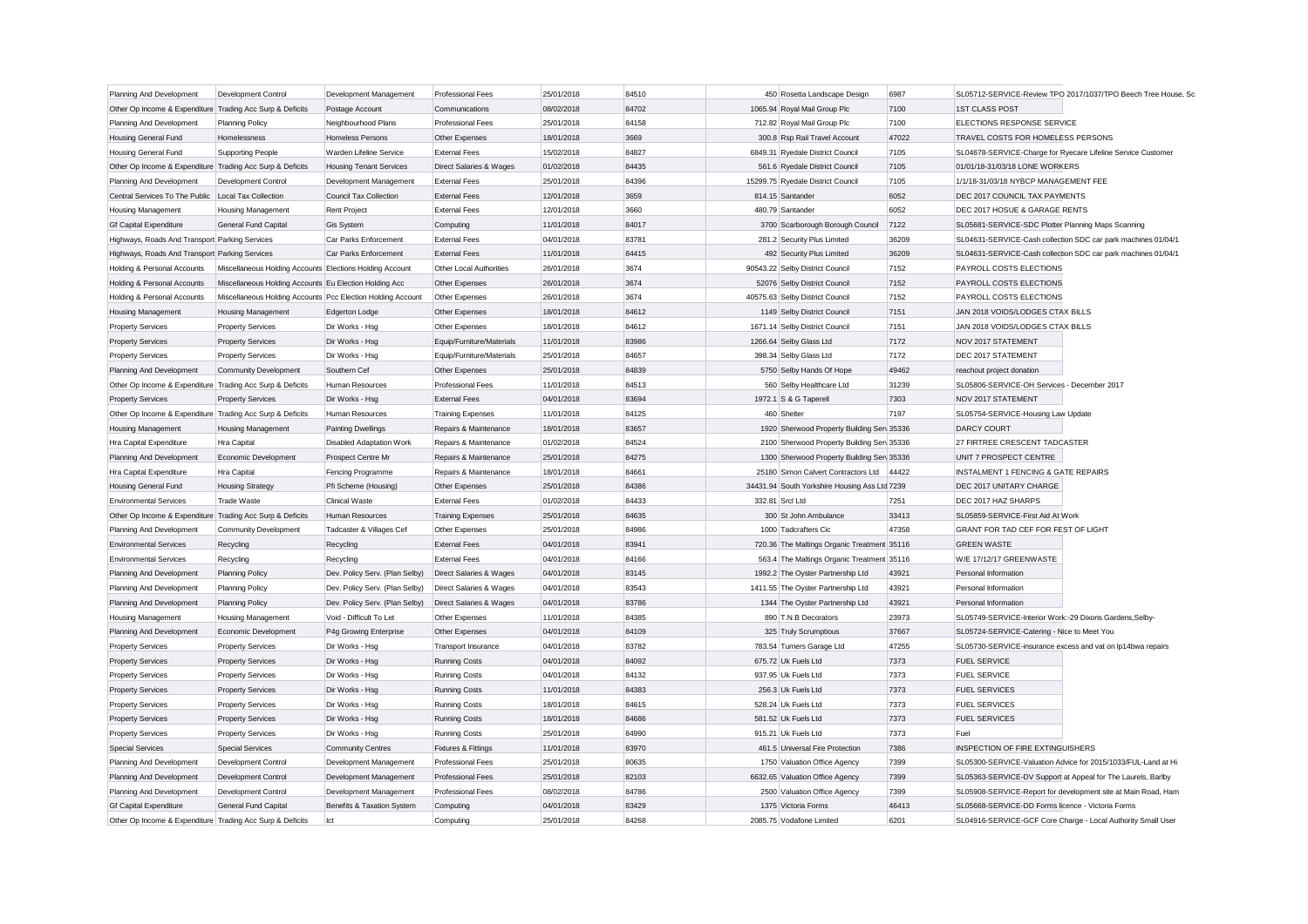| Planning And Development                                  | Development Control                                         | Development Management          | <b>Professional Fees</b>           | 25/01/2018 | 84510 | 450 Rosetta Landscape Design                  | 6987  |                                                              | SL05712-SERVICE-Review TPO 2017/1037/TPO Beech Tree House, Sc |
|-----------------------------------------------------------|-------------------------------------------------------------|---------------------------------|------------------------------------|------------|-------|-----------------------------------------------|-------|--------------------------------------------------------------|---------------------------------------------------------------|
| Other Op Income & Expenditure Trading Acc Surp & Deficits |                                                             | Postage Account                 | Communications                     | 08/02/2018 | 84702 | 1065.94 Royal Mail Group Plc                  | 7100  | <b>1ST CLASS POST</b>                                        |                                                               |
| Planning And Development                                  | <b>Planning Policy</b>                                      | Neighbourhood Plans             | <b>Professional Fees</b>           | 25/01/2018 | 84158 | 712.82 Royal Mail Group Plc                   | 7100  | ELECTIONS RESPONSE SERVICE                                   |                                                               |
| Housing General Fund                                      | Homelessness                                                | Homeless Persons                | Other Expenses                     | 18/01/2018 | 3669  | 300.8 Rsp Rail Travel Account                 | 47022 | TRAVEL COSTS FOR HOMELESS PERSONS                            |                                                               |
| Housing General Fund                                      | <b>Supporting People</b>                                    | Warden Lifeline Service         | <b>External Fees</b>               | 15/02/2018 | 84827 | 6849.31 Ryedale District Council              | 7105  |                                                              | SL04678-SERVICE-Charge for Ryecare Lifeline Service Customer  |
| Other Op Income & Expenditure Trading Acc Surp & Deficits |                                                             | <b>Housing Tenant Services</b>  | Direct Salaries & Wages            | 01/02/2018 | 84435 | 561.6 Ryedale District Council                | 7105  | 01/01/18-31/03/18 LONE WORKERS                               |                                                               |
| Planning And Development                                  | Development Control                                         | Development Management          | <b>External Fees</b>               | 25/01/2018 | 84396 | 15299.75 Ryedale District Council             | 7105  | 1/1/18-31/03/18 NYBCP MANAGEMENT FEE                         |                                                               |
| Central Services To The Public Local Tax Collection       |                                                             | Council Tax Collection          | <b>External Fees</b>               | 12/01/2018 | 3659  | 814.15 Santander                              | 6052  | DEC 2017 COUNCIL TAX PAYMENTS                                |                                                               |
| <b>Housing Management</b>                                 | <b>Housing Management</b>                                   | <b>Rent Project</b>             | <b>External Fees</b>               | 12/01/2018 | 3660  | 480.79 Santander                              | 6052  | DEC 2017 HOSUE & GARAGE RENTS                                |                                                               |
| <b>Gf Capital Expenditure</b>                             | General Fund Capital                                        | Gis System                      | Computing                          | 11/01/2018 | 84017 | 3700 Scarborough Borough Council              | 7122  | SL05681-SERVICE-SDC Plotter Planning Maps Scanning           |                                                               |
| Highways, Roads And Transport Parking Services            |                                                             | Car Parks Enforcement           | <b>External Fees</b>               | 04/01/2018 | 83781 | 281.2 Security Plus Limited                   | 36209 |                                                              | SL04631-SERVICE-Cash collection SDC car park machines 01/04/1 |
| Highways, Roads And Transport Parking Services            |                                                             | Car Parks Enforcement           | <b>External Fees</b>               | 11/01/2018 | 84415 | 492 Security Plus Limited                     | 36209 |                                                              | SL04631-SERVICE-Cash collection SDC car park machines 01/04/1 |
| Holding & Personal Accounts                               | Miscellaneous Holding Accounts Elections Holding Account    |                                 | Other Local Authorities            | 26/01/2018 | 3674  | 90543.22 Selby District Council               | 7152  | PAYROLL COSTS ELECTIONS                                      |                                                               |
| Holding & Personal Accounts                               | Miscellaneous Holding Accounts Eu Election Holding Acc      |                                 | Other Expenses                     | 26/01/2018 | 3674  | 52076 Selby District Council                  | 7152  | PAYROLL COSTS ELECTIONS                                      |                                                               |
| Holding & Personal Accounts                               | Miscellaneous Holding Accounts Pcc Election Holding Account |                                 | Other Expenses                     | 26/01/2018 | 3674  | 40575.63 Selby District Council               | 7152  | PAYROLL COSTS ELECTIONS                                      |                                                               |
| <b>Housing Management</b>                                 | <b>Housing Management</b>                                   | <b>Edgerton Lodge</b>           | Other Expenses                     | 18/01/2018 | 84612 | 1149 Selby District Council                   | 7151  | JAN 2018 VOIDS/LODGES CTAX BILLS                             |                                                               |
| <b>Property Services</b>                                  | <b>Property Services</b>                                    | Dir Works - Hsg                 | Other Expenses                     | 18/01/2018 | 84612 | 1671.14 Selby District Council                | 7151  | JAN 2018 VOIDS/LODGES CTAX BILLS                             |                                                               |
| <b>Property Services</b>                                  | <b>Property Services</b>                                    | Dir Works - Hsg                 | Equip/Furniture/Materials          | 11/01/2018 | 83986 | 1266.64 Selby Glass Ltd                       | 7172  | NOV 2017 STATEMENT                                           |                                                               |
| <b>Property Services</b>                                  | <b>Property Services</b>                                    | Dir Works - Hsg                 | Equip/Furniture/Materials          | 25/01/2018 | 84657 | 398.34 Selby Glass Ltd                        | 7172  | DEC 2017 STATEMENT                                           |                                                               |
| Planning And Development                                  | Community Development                                       | Southern Cef                    | Other Expenses                     | 25/01/2018 | 84839 | 5750 Selby Hands Of Hope                      | 49462 | reachout project donation                                    |                                                               |
| Other Op Income & Expenditure Trading Acc Surp & Deficits |                                                             | Human Resources                 | <b>Professional Fees</b>           | 11/01/2018 | 84513 | 560 Selby Healthcare Ltd                      | 31239 | SL05806-SERVICE-OH Services - December 2017                  |                                                               |
| <b>Property Services</b>                                  | <b>Property Services</b>                                    | Dir Works - Hsg                 | <b>External Fees</b>               | 04/01/2018 | 83694 | 1972.1 S & G Taperell                         | 7303  | NOV 2017 STATEMENT                                           |                                                               |
| Other Op Income & Expenditure Trading Acc Surp & Deficits |                                                             | Human Resources                 | <b>Training Expenses</b>           | 11/01/2018 | 84125 | 460 Shelter                                   | 7197  | SL05754-SERVICE-Housing Law Update                           |                                                               |
| <b>Housing Management</b>                                 | <b>Housing Management</b>                                   | <b>Painting Dwellings</b>       | Repairs & Maintenance              | 18/01/2018 | 83657 | 1920 Sherwood Property Building Sen 35336     |       | <b>DARCY COURT</b>                                           |                                                               |
| Hra Capital Expenditure                                   | Hra Capital                                                 | <b>Disabled Adaptation Work</b> | Repairs & Maintenance              | 01/02/2018 | 84524 | 2100 Sherwood Property Building Sen 35336     |       | 27 FIRTREE CRESCENT TADCASTER                                |                                                               |
| Planning And Development                                  | Economic Development                                        | Prospect Centre Mr              | Repairs & Maintenance              | 25/01/2018 | 84275 | 1300 Sherwood Property Building Ser 35336     |       | UNIT 7 PROSPECT CENTRE                                       |                                                               |
| Hra Capital Expenditure                                   | Hra Capital                                                 | Fencing Programme               | Repairs & Maintenance              | 18/01/2018 | 84661 | 25180 Simon Calvert Contractors Ltd 44422     |       | INSTALMENT 1 FENCING & GATE REPAIRS                          |                                                               |
| Housing General Fund                                      | <b>Housing Strategy</b>                                     | Pfi Scheme (Housing)            | Other Expenses                     | 25/01/2018 | 84386 | 34431.94 South Yorkshire Housing Ass Ltd 7239 |       | DEC 2017 UNITARY CHARGE                                      |                                                               |
| <b>Environmental Services</b>                             | <b>Trade Waste</b>                                          | <b>Clinical Waste</b>           | <b>External Fees</b>               | 01/02/2018 | 84433 | 332.81 Srcl Ltd                               | 7251  | DEC 2017 HAZ SHARPS                                          |                                                               |
| Other Op Income & Expenditure Trading Acc Surp & Deficits |                                                             | Human Resources                 | <b>Training Expenses</b>           | 25/01/2018 | 84635 | 300 St John Ambulance                         | 33413 | SL05859-SERVICE-First Aid At Work                            |                                                               |
| Planning And Development                                  | Community Development                                       | Tadcaster & Villages Cef        | Other Expenses                     | 25/01/2018 | 84986 | 1000 Tadcrafters Cic                          | 47358 | GRANT FOR TAD CEF FOR FEST OF LIGHT                          |                                                               |
| <b>Environmental Services</b>                             | Recycling                                                   | Recycling                       | <b>External Fees</b>               | 04/01/2018 | 83941 | 720.36 The Maltings Organic Treatment 35116   |       | <b>GREEN WASTE</b>                                           |                                                               |
| <b>Environmental Services</b>                             | Recycling                                                   | Recycling                       | <b>External Fees</b>               | 04/01/2018 | 84166 | 563.4 The Maltings Organic Treatment 35116    |       | W/E 17/12/17 GREENWASTE                                      |                                                               |
| Planning And Development                                  | <b>Planning Policy</b>                                      | Dev. Policy Serv. (Plan Selby)  | <b>Direct Salaries &amp; Wages</b> | 04/01/2018 | 83145 | 1992.2 The Oyster Partnership Ltd             | 43921 | Personal Information                                         |                                                               |
| Planning And Development                                  | <b>Planning Policy</b>                                      | Dev. Policy Serv. (Plan Selby)  | Direct Salaries & Wages            | 04/01/2018 | 83543 | 1411.55 The Oyster Partnership Ltd            | 43921 | Personal Information                                         |                                                               |
| Planning And Development                                  | <b>Planning Policy</b>                                      | Dev. Policy Serv. (Plan Selby)  | Direct Salaries & Wages            | 04/01/2018 | 83786 | 1344 The Oyster Partnership Ltd               | 43921 | Personal Information                                         |                                                               |
| Housing Management                                        | Housing Management                                          | Void - Difficult To Let         | Other Expenses                     | 11/01/2018 | 84385 | 890 T.N.B Decorators                          | 23973 | SL05749-SERVICE-Interior Work:-29 Dixons Gardens, Selby-     |                                                               |
| Planning And Development                                  | Economic Development                                        | P4g Growing Enterprise          | Other Expenses                     | 04/01/2018 | 84109 | 325 Truly Scrumptious                         | 37667 | SL05724-SERVICE-Catering - Nice to Meet You                  |                                                               |
| <b>Property Services</b>                                  | <b>Property Services</b>                                    | Dir Works - Hsg                 | Transport Insurance                | 04/01/2018 | 83782 | 783.54 Turners Garage Ltd                     | 47255 | SL05730-SERVICE-insurance excess and vat on lp14bwa repairs  |                                                               |
| <b>Property Services</b>                                  | <b>Property Services</b>                                    | Dir Works - Hsg                 | <b>Running Costs</b>               | 04/01/2018 | 84092 | 675.72 Uk Fuels Ltd                           | 7373  | <b>FUEL SERVICE</b>                                          |                                                               |
| <b>Property Services</b>                                  | <b>Property Services</b>                                    | Dir Works - Hsg                 | <b>Running Costs</b>               | 04/01/2018 | 84132 | 937.95 Uk Fuels Ltd                           | 7373  | <b>FUEL SERVICE</b>                                          |                                                               |
| <b>Property Services</b>                                  | <b>Property Services</b>                                    | Dir Works - Hsg                 | <b>Running Costs</b>               | 11/01/2018 | 84383 | 256.3 Uk Fuels Ltd                            | 7373  | <b>FUEL SERVICES</b>                                         |                                                               |
| <b>Property Services</b>                                  | <b>Property Services</b>                                    | Dir Works - Hsg                 | <b>Running Costs</b>               | 18/01/2018 | 84615 | 528.24 Uk Fuels Ltd                           | 7373  | <b>FUEL SERVICES</b>                                         |                                                               |
| <b>Property Services</b>                                  | <b>Property Services</b>                                    | Dir Works - Hsg                 | <b>Running Costs</b>               | 18/01/2018 | 84686 | 581.52 Uk Fuels Ltd                           | 7373  | <b>FUEL SERVICES</b>                                         |                                                               |
| <b>Property Services</b>                                  | <b>Property Services</b>                                    | Dir Works - Hsg                 | <b>Running Costs</b>               | 25/01/2018 | 84990 | 915.21 Uk Fuels Ltd                           | 7373  | Fuel                                                         |                                                               |
| <b>Special Services</b>                                   | <b>Special Services</b>                                     | <b>Community Centres</b>        | Fixtures & Fittings                | 11/01/2018 | 83970 | 461.5 Universal Fire Protection               | 7386  | INSPECTION OF FIRE EXTINGUISHERS                             |                                                               |
| Planning And Development                                  | Development Control                                         | Development Management          | <b>Professional Fees</b>           | 25/01/2018 | 80635 | 1750 Valuation Office Agency                  | 7399  |                                                              | SL05300-SERVICE-Valuation Advice for 2015/1033/FUL-Land at Hi |
| Planning And Development                                  | Development Control                                         | Development Management          | <b>Professional Fees</b>           | 25/01/2018 | 82103 | 6632.65 Valuation Office Agency               | 7399  | SL05363-SERVICE-DV Support at Appeal for The Laurels, Barlby |                                                               |
| Planning And Development                                  | Development Control                                         | Development Management          | <b>Professional Fees</b>           | 08/02/2018 | 84786 | 2500 Valuation Office Agency                  | 7399  |                                                              | SL05908-SERVICE-Report for development site at Main Road, Ham |
| <b>Gf Capital Expenditure</b>                             | General Fund Capital                                        | Benefits & Taxation System      | Computing                          | 04/01/2018 | 83429 | 1375 Victoria Forms                           | 46413 | SL05668-SERVICE-DD Forms licence - Victoria Forms            |                                                               |
| Other Op Income & Expenditure Trading Acc Surp & Deficits |                                                             | let                             | Computing                          | 25/01/2018 | 84268 | 2085.75 Vodafone Limited                      | 6201  |                                                              | SL04916-SERVICE-GCF Core Charge - Local Authority Small User  |
|                                                           |                                                             |                                 |                                    |            |       |                                               |       |                                                              |                                                               |